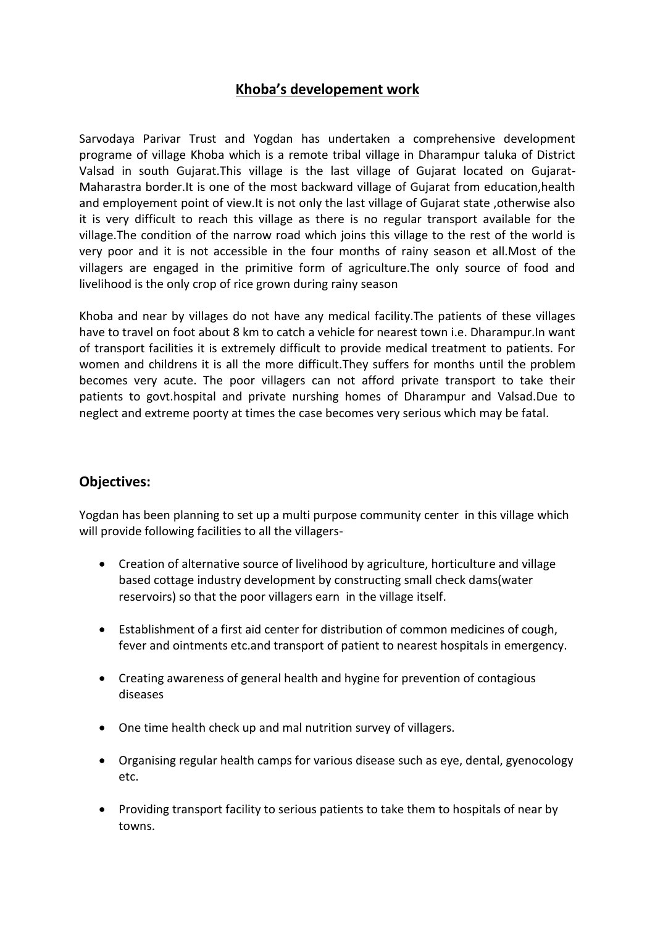# **Khoba's developement work**

Sarvodaya Parivar Trust and Yogdan has undertaken a comprehensive development programe of village Khoba which is a remote tribal village in Dharampur taluka of District Valsad in south Gujarat.This village is the last village of Gujarat located on Gujarat-Maharastra border.It is one of the most backward village of Gujarat from education,health and employement point of view.It is not only the last village of Gujarat state ,otherwise also it is very difficult to reach this village as there is no regular transport available for the village.The condition of the narrow road which joins this village to the rest of the world is very poor and it is not accessible in the four months of rainy season et all.Most of the villagers are engaged in the primitive form of agriculture.The only source of food and livelihood is the only crop of rice grown during rainy season

Khoba and near by villages do not have any medical facility.The patients of these villages have to travel on foot about 8 km to catch a vehicle for nearest town i.e. Dharampur.In want of transport facilities it is extremely difficult to provide medical treatment to patients. For women and childrens it is all the more difficult.They suffers for months until the problem becomes very acute. The poor villagers can not afford private transport to take their patients to govt.hospital and private nurshing homes of Dharampur and Valsad.Due to neglect and extreme poorty at times the case becomes very serious which may be fatal.

## **Objectives:**

Yogdan has been planning to set up a multi purpose community center in this village which will provide following facilities to all the villagers-

- Creation of alternative source of livelihood by agriculture, horticulture and village based cottage industry development by constructing small check dams(water reservoirs) so that the poor villagers earn in the village itself.
- Establishment of a first aid center for distribution of common medicines of cough, fever and ointments etc.and transport of patient to nearest hospitals in emergency.
- Creating awareness of general health and hygine for prevention of contagious diseases
- One time health check up and mal nutrition survey of villagers.
- Organising regular health camps for various disease such as eye, dental, gyenocology etc.
- Providing transport facility to serious patients to take them to hospitals of near by towns.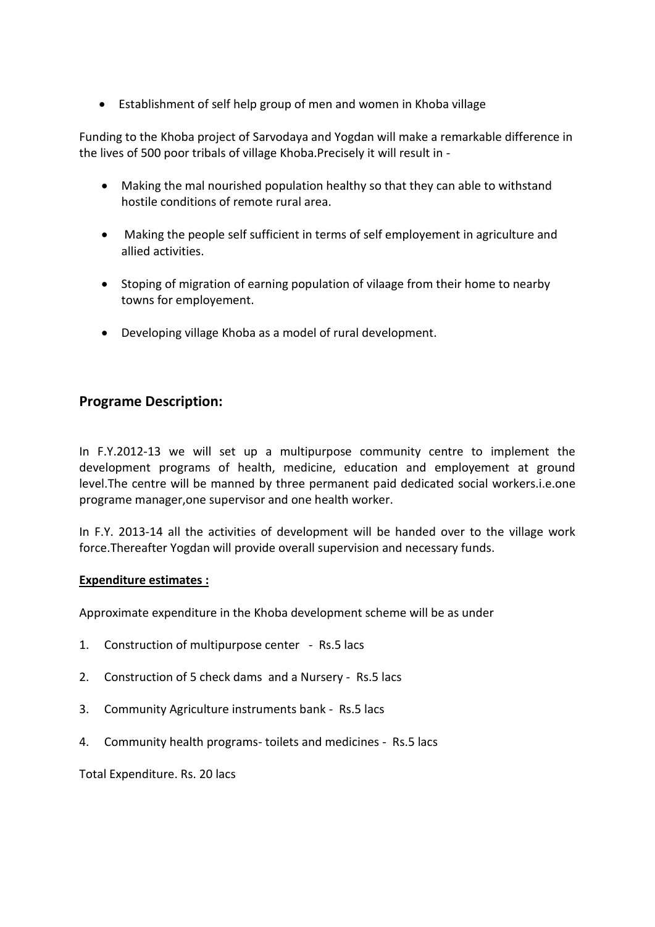Establishment of self help group of men and women in Khoba village

Funding to the Khoba project of Sarvodaya and Yogdan will make a remarkable difference in the lives of 500 poor tribals of village Khoba.Precisely it will result in -

- Making the mal nourished population healthy so that they can able to withstand hostile conditions of remote rural area.
- Making the people self sufficient in terms of self employement in agriculture and allied activities.
- Stoping of migration of earning population of vilaage from their home to nearby towns for employement.
- Developing village Khoba as a model of rural development.

## **Programe Description:**

In F.Y.2012-13 we will set up a multipurpose community centre to implement the development programs of health, medicine, education and employement at ground level.The centre will be manned by three permanent paid dedicated social workers.i.e.one programe manager,one supervisor and one health worker.

In F.Y. 2013-14 all the activities of development will be handed over to the village work force.Thereafter Yogdan will provide overall supervision and necessary funds.

#### **Expenditure estimates :**

Approximate expenditure in the Khoba development scheme will be as under

- 1. Construction of multipurpose center Rs.5 lacs
- 2. Construction of 5 check dams and a Nursery Rs.5 lacs
- 3. Community Agriculture instruments bank Rs.5 lacs
- 4. Community health programs- toilets and medicines Rs.5 lacs

Total Expenditure. Rs. 20 lacs